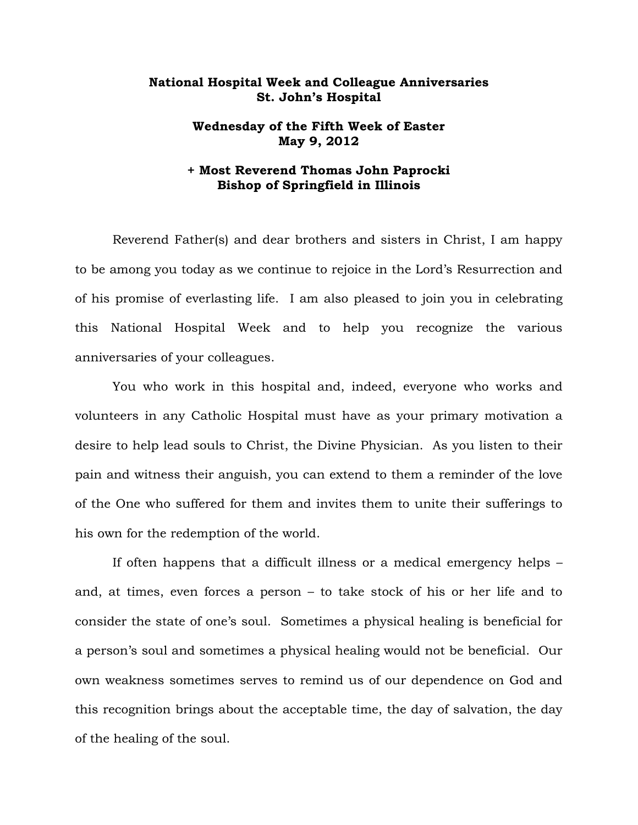## **National Hospital Week and Colleague Anniversaries St. John's Hospital**

## **Wednesday of the Fifth Week of Easter May 9, 2012**

## **+ Most Reverend Thomas John Paprocki Bishop of Springfield in Illinois**

 Reverend Father(s) and dear brothers and sisters in Christ, I am happy to be among you today as we continue to rejoice in the Lord's Resurrection and of his promise of everlasting life. I am also pleased to join you in celebrating this National Hospital Week and to help you recognize the various anniversaries of your colleagues.

 You who work in this hospital and, indeed, everyone who works and volunteers in any Catholic Hospital must have as your primary motivation a desire to help lead souls to Christ, the Divine Physician. As you listen to their pain and witness their anguish, you can extend to them a reminder of the love of the One who suffered for them and invites them to unite their sufferings to his own for the redemption of the world.

 If often happens that a difficult illness or a medical emergency helps – and, at times, even forces a person – to take stock of his or her life and to consider the state of one's soul. Sometimes a physical healing is beneficial for a person's soul and sometimes a physical healing would not be beneficial. Our own weakness sometimes serves to remind us of our dependence on God and this recognition brings about the acceptable time, the day of salvation, the day of the healing of the soul.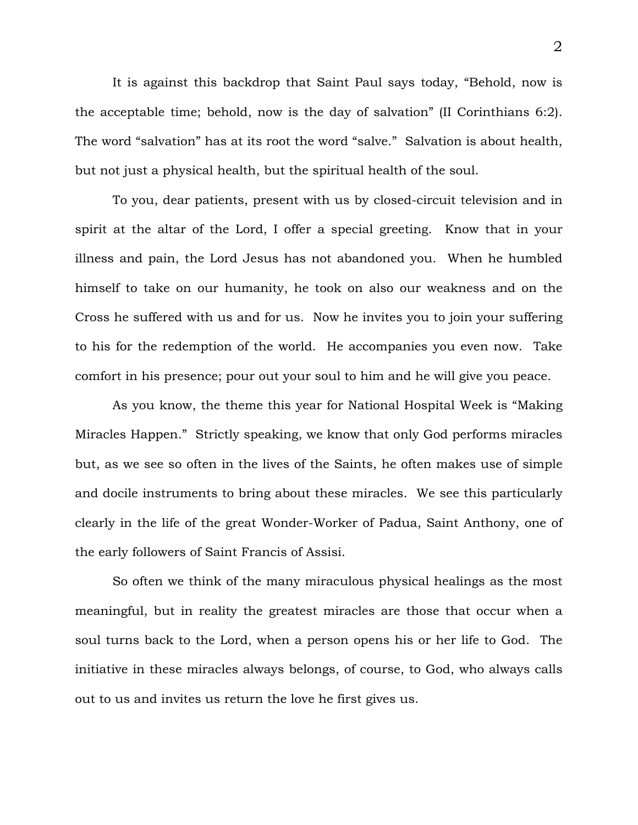It is against this backdrop that Saint Paul says today, "Behold, now is the acceptable time; behold, now is the day of salvation" (II Corinthians 6:2). The word "salvation" has at its root the word "salve." Salvation is about health, but not just a physical health, but the spiritual health of the soul.

 To you, dear patients, present with us by closed-circuit television and in spirit at the altar of the Lord, I offer a special greeting. Know that in your illness and pain, the Lord Jesus has not abandoned you. When he humbled himself to take on our humanity, he took on also our weakness and on the Cross he suffered with us and for us. Now he invites you to join your suffering to his for the redemption of the world. He accompanies you even now. Take comfort in his presence; pour out your soul to him and he will give you peace.

 As you know, the theme this year for National Hospital Week is "Making Miracles Happen." Strictly speaking, we know that only God performs miracles but, as we see so often in the lives of the Saints, he often makes use of simple and docile instruments to bring about these miracles. We see this particularly clearly in the life of the great Wonder-Worker of Padua, Saint Anthony, one of the early followers of Saint Francis of Assisi.

 So often we think of the many miraculous physical healings as the most meaningful, but in reality the greatest miracles are those that occur when a soul turns back to the Lord, when a person opens his or her life to God. The initiative in these miracles always belongs, of course, to God, who always calls out to us and invites us return the love he first gives us.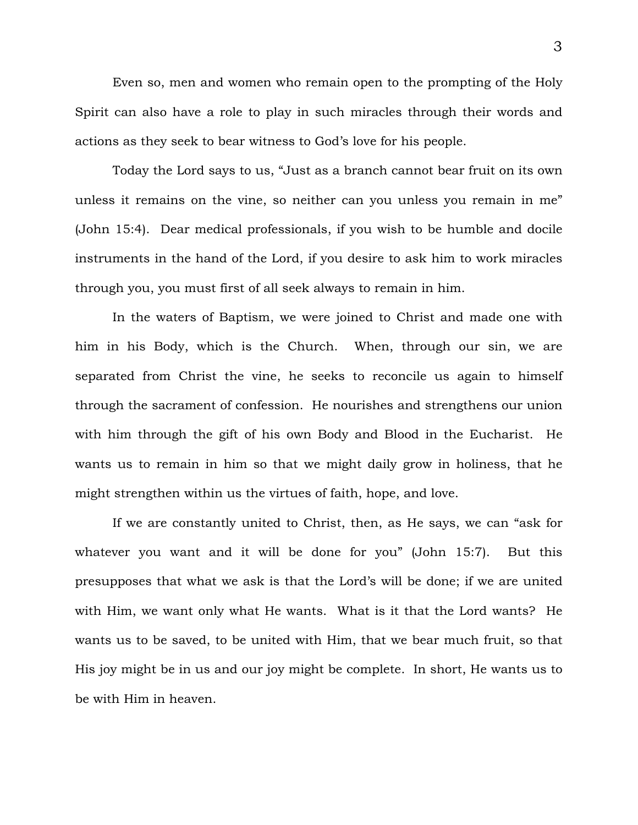Even so, men and women who remain open to the prompting of the Holy Spirit can also have a role to play in such miracles through their words and actions as they seek to bear witness to God's love for his people.

 Today the Lord says to us, "Just as a branch cannot bear fruit on its own unless it remains on the vine, so neither can you unless you remain in me" (John 15:4). Dear medical professionals, if you wish to be humble and docile instruments in the hand of the Lord, if you desire to ask him to work miracles through you, you must first of all seek always to remain in him.

 In the waters of Baptism, we were joined to Christ and made one with him in his Body, which is the Church. When, through our sin, we are separated from Christ the vine, he seeks to reconcile us again to himself through the sacrament of confession. He nourishes and strengthens our union with him through the gift of his own Body and Blood in the Eucharist. He wants us to remain in him so that we might daily grow in holiness, that he might strengthen within us the virtues of faith, hope, and love.

 If we are constantly united to Christ, then, as He says, we can "ask for whatever you want and it will be done for you" (John 15:7). But this presupposes that what we ask is that the Lord's will be done; if we are united with Him, we want only what He wants. What is it that the Lord wants? He wants us to be saved, to be united with Him, that we bear much fruit, so that His joy might be in us and our joy might be complete. In short, He wants us to be with Him in heaven.